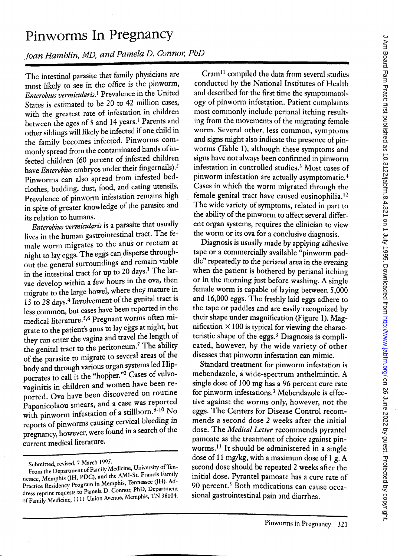## **Pinworms In Pregnancy**

Joan Hamblin, MD, and Pamela D. Connor, PhD

The intestinal parasite that family physicians are most likely to see in the office is the pinworm, *Enterobius vermicularis.*<sup>1</sup> Prevalence in the United States is estimated to be 20 to 42 million cases, with the greatest rate of infestation in children between the ages of 5 and 14 years.<sup>1</sup> Parents and other siblings will likely be infected if one child in the family becomes infected. Pinworms commonly spread from the contaminated hands of infected children (60 percent of infested children have *Enterobius* embryos under their fingernails).2 Pinworms can also spread from infested bedclothes, bedding, dust, food, and eating utensils. Prevalence of pinworm infestation remains high in spite of greater knowledge of the parasite and its relation to humans.

*Enterobius vermicularis* is a parasite that usually lives in the human gastrointestinal tract. The female worm migrates to the anus or rectum at night to lay eggs. The eggs can disperse throughout the general surroundings and remain viable in the intestinal tract for up to 20 days.3 The larvae develop within a few hours in the ova, then migrate to the large bowel, where they mature in 15 to 28 days.4 Involvement of the genital tract is less common, but cases have been reported in the medical literature.<sup>5,6</sup> Pregnant worms often migrate to the patient's anus to lay eggs at night, but they can enter the vagina and travel the length of the genital tract to the peritoneum.<sup>7</sup> The ability of the parasite to migrate to several areas of the body and through various organ systems led Hippocrates to call it the "hopper."2 Cases of vulvovaginitis in children and women have been reported. Ova have been discovered on routine Papanicolaou smears, and a case was reported with pinworm infestation of a stillborn.8-10  $\overline{N}$ o reports of pinworms causing cervical bleeding in pregnancy, however, were found in a search of the current medical literature.

Cram<sup>11</sup> compiled the data from several studies conducted by the National Institutes of Health and described for the first time the symptomatology of pinworm infestation. Patient complaints most commonly include perianal itching resulting from the movements of the migrating female worm. Several other, less common, symptoms and signs might also indicate the presence of pinworms (Table 1), although these symptoms and signs have not always been confirmed in pinworm infestation in controlled studies.<sup>3</sup> Most cases of pinworm infestation are actually asymptomatic.<sup>4</sup> Cases in which the worm migrated through the female genital tract have caused eosinophilia.<sup>12</sup> The wide variety of symptoms, related in part to the ability of the pinworm to affect several different organ systems, requires the clinician to view the worm or its ova for a conclusive diagnosis.

Diagnosis is usually made by applying adhesive tape or a commercially available "pinworm paddle" repeatedly to the perianal area in the evening when the patient is bothered by perianal itching or in the morning just before washing. A single female worm is capable of laying between 5,000 and 16,000 eggs. The freshly laid eggs adhere to the tape or paddles and are easily recognized by their shape under magnification (Figure 1). Magnification  $\times$  100 is typical for viewing the characteristic shape of the eggs.3 Diagnosis is complicated, however, by the wide variety of other diseases that pinworm infestation can mimic.

Standard treatment for pinworm infestation is mebendazole, a wide-spectrum anthelmintic. A single dose of 100 mg has a 96 percent cure rate for pinworm infestations.3 Mebendazole is effective against the worms only, however, not the eggs. The Centers for Disease Control recommends a second dose 2 weeks after the initial dose. The *Medical Letter* recommends pyrantel pamoate as the treatment of choice against pinworms.<sup>13</sup> It should be administered in a single dose of 11 mg/kg, with a maximum dose of 1 g. A second dose should be repeated 2 weeks after the initial dose. Pyrantel pamoate has a cure rate of 90 percent.<sup>3</sup> Both medications can cause occasional gastrointestinal pain and diarrhea.

Submitted, revised, 7 March 1995.

From the Department of Family Medicine, University of Tennessee, Memphis (JH, PDC), and the AMI-St. Francis Family Practice Residency Program in Memphis, Tennessee (JH). Address reprint requests to Pamela D. Connor, PhD, Department of Family Medicine, 1111 Union Avenue, Memphis, TN 38104.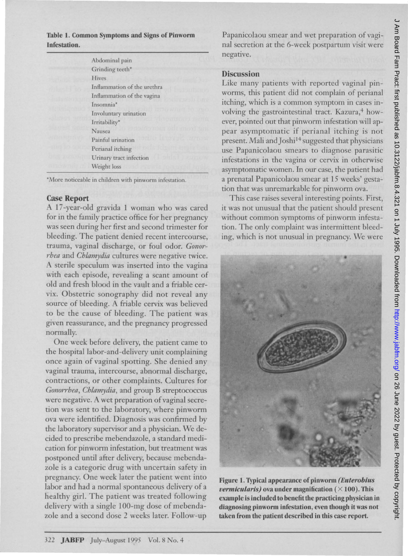Table 1. Common Symptoms and Signs of Pinworm Infestation.

| Abdominal pain                                |
|-----------------------------------------------|
| Grinding teeth*                               |
| Hives                                         |
| Inflammation of the urethra                   |
| Inflammation of the vagina                    |
| Insomnia*                                     |
| <b>TATIC ANGELIA</b><br>Involuntary urination |
| <b>Litturaniei</b><br>Irritability*           |
| da abyakın bil rinir<br>Nausea                |
| an ar Draward a<br>Painful urination          |
| addigitman<br>Perianal itching                |
| Urinary tract infection                       |
| Weight loss                                   |
|                                               |

\*More noticeable in children with pinworm infestation.

## Case Report

A 17 -year-old gravida 1 woman who was cared for in the family practice office for her pregnancy was seen during her first and second trimester for bleeding. The patient denied recent intercourse, trauma, vaginal discharge, or foul odor. *Gonorrhea* and *Chlamydia* cultures were negative twice. A sterile speculum was inserted into the vagina with each episode, revealing a scant amount of old and fresh blood in the vault and a friable cervix. Obstetric sonography did not reveal any source of bleeding. A friable cervix was believed to be the cause of bleeding. The patient was given reassurance, and the pregnancy progressed normally.

One week before delivery, the patient came to the hospital labor-and-delivery unit complaining once again of vaginal spotting. She denied any vaginal trauma, intercourse, abnormal discharge, contractions, or other complaints. Cultures for *Gonorrhea, Chlamydia,* and group B streptococcus were negative. A wet preparation of vaginal secretion was sent to the laboratory, where pinworm ova were identified. Diagnosis was confirmed by the laboratory supervisor and a physician. We decided to prescribe mebendazole, a standard medication for pinworm infestation, but treatment was postponed until after delivery, because mebendazole is a categoric drug with uncertain safety in pregnancy. One week later the patient went into labor and had a normal spontaneous delivery of a healthy girl. The patient was treated following delivery with a single 100-mg dose of mebendazole and a second dose 2 weeks later. Follow-up

Papanicolaou smear and wet preparation of vaginal secretion at the 6-week postpartum visit were negative.

## **Discussion**

Like many patients with reported vaginal pinworms, this patient did not complain of perianal itching, which is a common symptom in cases involving the gastrointestinal tract. Kazura,<sup>4</sup> however, pointed out that pinworm infestation will appear asymptomatic if perianal itching is not present. Mali and Joshi<sup>14</sup> suggested that physicians use Papanicolaou smears to diagnose parasitic infestations in the vagina or cervix in otherwise asymptomatic women. In our case, the patient had a prenatal Papanicolaou smear at 15 weeks' gestation that was unremarkable for pinworm ova.

This case raises several interesting points. First, it was not unusual that the patient should present without common symptoms of pinworm infestation. The only complaint was intermittent bleeding, which is not unusual in pregnancy. We were



Figure 1. Typical appearance of pinworm *(Enterobius vermicularis*) ova under magnification ( $\times$  100). This example is included to benefit the practicing physician in diagnosing pinworm infestation, even though it was not taken from the patient described in this case report.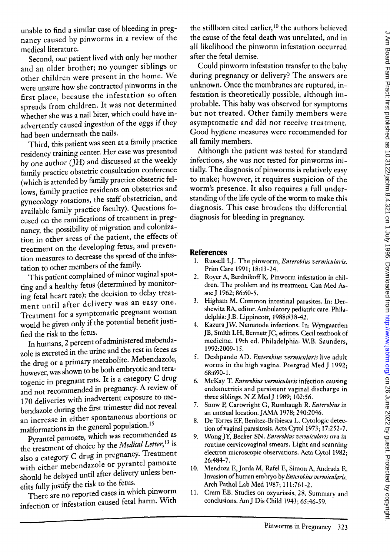unable to find a similar case of bleeding in pregnancy caused by pinworms in a review of the medical literature.

Second, our patient lived with only her mother and an older brother; no younger siblings or other children were present in the home. We were unsure how she contracted pinworms in the first place, because the infestation so often spreads from children. It was not determined whether she was a nail biter, which could have inadvertently caused ingestion of the eggs if they had been underneath the nails.

Third, this patient was seen at a family practice residency training center. Her case was presented by one author ( $\check{JH}$ ) and discussed at the weekly family practice obstetric consultation conference (which is attended by family practice obstetric fellows, family practice residents on obstetrics and gynecology rotations, the staff obstetrician, and available family practice faculty). Questions focused on the ramifications of treatment in pregnancy, the possibility of migration and colonization in other areas of the patient, the effects of treatment on the developing fetus, and prevention measures to decrease the spread of the infestation to other members of the family.

This patient complained of minor vaginal spotting and a healthy fetus (determined by monitoring fetal heart rate); the decision to delay treatment until after delivery was an easy one. Treatment for a symptomatic pregnant woman would be given only if the potential benefit justified the risk to the fetus.

In humans, 2 percent of administered mebendazole is excreted in the urine and the rest in feces as the drug or a primary metabolite. Mebendazole, however, was shown to be both embryotic and teratogenic in pregnant rats. It is a category C drug and not recommended in pregnancy. A review of 170 deliveries with inadvertent exposure to mebendazole during the first trimester did not reveal an increase in either spontaneous abortions or malformations in the general population. <sup>15</sup>

Pyrantel pamoate, which was recommended as the treatment of choice by the *Medical Letter,13* is also a category C drug in pregnancy. Treatment with either mebendazole or pyrantel pamoate should be delayed until after delivery unless benefits fully justify the risk to the fetus.

There are no reported cases in which pinworm infection or infestation caused fetal harm. WIth the stillborn cited earlier, $10$  the authors believed the cause of the fetal death was unrelated, and in all likelihood the pinworm infestation occurred after the fetal demise.

Could pinworm infestation transfer to the baby during pregnancy or delivery? The answers are unknown. Once the membranes are ruptured, infestation is theoretically possible, although improbable. This baby was observed for symptoms but not treated. Other family members were asymptomatic and did not *receive* treatment. Good hygiene measures were recommended for all family members.

Although the patient was tested for standard infections, she was not tested for pinworms initially. The diagnosis of pinworms is relatively easy to make; however, it requires suspicion of the worm's presence. It also requires a full understanding of the life cycle of the worm to make this diagnosis. This case broadens the differential diagnosis for bleeding in pregnancy.

## **References**

- 1. Russell LJ. The pinworm, *Enterobius vermicularis*. Prim Care 1991; 18:13-24.
- 2. Royer A, BerdnikoffK. Pinworm infestation in children. The problem and its treatment. Can Med Assoc J 1962; 86:60-5.
- 3. Higham M. Common intestinal parasites. In: Dershewitz RA, editor. Ambulatory pediatric care. Philadelphia: J.B. Lippincott, 1988:838-42.
- 4. Kazura JW. Nematode infections. In: Wyngaarden )B, Smith LH, Bennett)C, editors. Cecil textbook of medicine. 19th ed. Philadelphia: W.B. Saunders, 1992:2009-15.
- 5. Deshpande AD. *Enterobius vermicularis* live adult worms in the high vagina. Postgrad Med J 1992; 68:690-1.
- 6. McKay T. *Enterobius vermiculnris* infection causing endometritis and persistent vaginal discharge in three siblings. N Z Med J 1989; 102:56.
- 7. Snow P, Cartwright G, Rumbaugh R. *Emerobills* in an unusual location. )AMA 1978; 240:2046.
- 8. De Torres EF, Benitez-Bribiesca L. Cytologic detection of vaginal parasitosis. Acta Cytol 1973; 17:252-7.
- 9. Wong JY, Becker SN. *Enterobius vermicularis* ova in routine cervicovaginal smears. Light and scanning electron microscopic observations. Acta Cytol 1982; 26:484-7.
- 10. Mendoza E,)orda M, Rafel E, Simon A, Andrada E. Invasion of human embryo by *Enterobius vermicularis*. Arch Pathol Lab Med 1987; 111 :761-2.
- 11. Cram EB. Studies on oxyuriasis, 28. Summary and conclusions. Am J Dis Child 1943; 65:46-59.